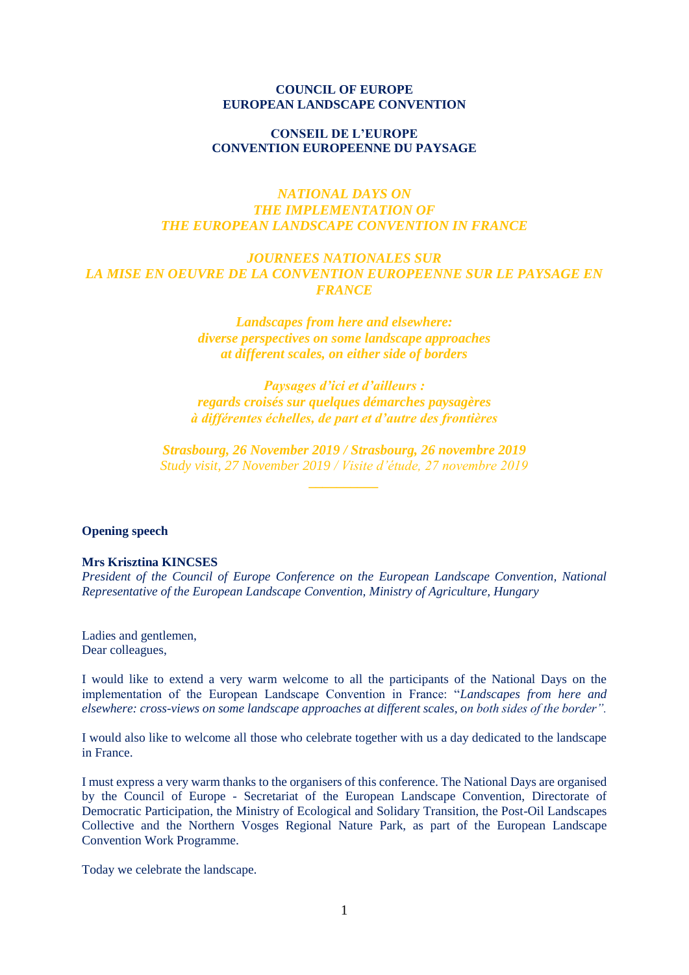### **COUNCIL OF EUROPE EUROPEAN LANDSCAPE CONVENTION**

### **CONSEIL DE L'EUROPE CONVENTION EUROPEENNE DU PAYSAGE**

# *NATIONAL DAYS ON THE IMPLEMENTATION OF THE EUROPEAN LANDSCAPE CONVENTION IN FRANCE*

## *JOURNEES NATIONALES SUR LA MISE EN OEUVRE DE LA CONVENTION EUROPEENNE SUR LE PAYSAGE EN FRANCE*

*Landscapes from here and elsewhere: diverse perspectives on some landscape approaches at different scales, on either side of borders*

*Paysages d'ici et d'ailleurs : regards croisés sur quelques démarches paysagères à différentes échelles, de part et d'autre des frontières*

*Strasbourg, 26 November 2019 / Strasbourg, 26 novembre 2019 Study visit, 27 November 2019 / Visite d'étude, 27 novembre 2019*

#### **Opening speech**

#### **Mrs Krisztina KINCSES**

*President of the Council of Europe Conference on the European Landscape Convention, National Representative of the European Landscape Convention, Ministry of Agriculture, Hungary*

Ladies and gentlemen, Dear colleagues,

I would like to extend a very warm welcome to all the participants of the National Days on the implementation of the European Landscape Convention in France: "*Landscapes from here and elsewhere: cross-views on some landscape approaches at different scales, on both sides of the border".*

I would also like to welcome all those who celebrate together with us a day dedicated to the landscape in France.

I must express a very warm thanks to the organisers of this conference. The National Days are organised by the Council of Europe - Secretariat of the European Landscape Convention, Directorate of Democratic Participation, the Ministry of Ecological and Solidary Transition, the Post-Oil Landscapes Collective and the Northern Vosges Regional Nature Park, as part of the European Landscape Convention Work Programme.

Today we celebrate the landscape.